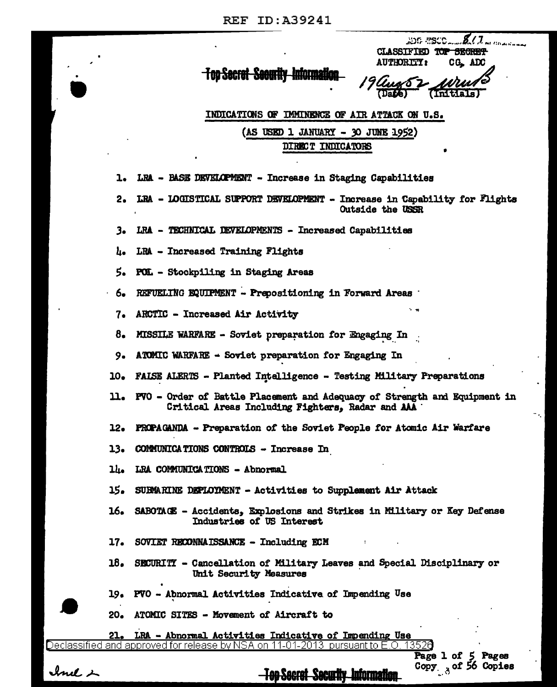$\mathbf{z}$ .  $\mathbf{z}$ DG ESCO. CLASSIFIED TOP SECRET **AUTHORTTY:** CG<sub>s</sub> ADC

## <del>- Top Secret-Security-Informati</del>o

-8 (Date) **(Initials** 

INDICATIONS OF IMMINENCE OF AIR ATTACK ON U.S.  $(AS$  USED 1 JANUARY - 30 JUNE 1952)

DIRECT INDICATORS

LRA - BASE DEVELOPMENT - Increase in Staging Capabilities 1.

LRA - LOGISTICAL SUPPORT DEVELOPMENT - Increase in Capability for Flights  $2<sub>o</sub>$ Outside the USSR

LRA - TECHNICAL DEVELOPMENTS - Increased Capabilities з.

LRA - Increased Training Flights Ł.

5. POL - Stockpiling in Staging Areas

REFUELING EQUIPMENT - Prepositioning in Forward Areas ∙ 6.

ARCTIC - Increased Air Activity 7.

8. MISSILE WARFARE - Soviet preparation for Engaging In

ATOMIC WARFARE - Soviet preparation for Engaging In  $9.$ 

FALSE ALERTS - Planted Intelligence - Testing Military Preparations  $10<sub>o</sub>$ 

PVO - Order of Battle Placement and Adequacy of Strength and Equipment in n. Critical Areas Including Fighters, Radar and AAA

**PROPAGANDA - Preparation of the Soviet People for Atomic Air Warfare** 12.

**COMMUNICATIONS CONTROLS - Increase In** 13.

14. LRA COMMUNICATIONS - Abnormal

15. SUBMARINE DEPLOYMENT - Activities to Supplement Air Attack

16. SABOTAGE - Accidents, Explosions and Strikes in Military or Key Defense Industries of US Interest

SOVIET RECONNAISSANCE - Including ECM  $17.$ 

18. SECURITY - Cancellation of Military Leaves and Special Disciplinary or Unit Security Measures

**-Top Secret Security Information** 

PVO - Abnormal Activities Indicative of Impending Use 19.

20. ATOMIC SITES - Movement of Aircraft to

LRA - Abnormal Activities Indicative of Impending Use

and approved for release by NSA on 11-01-2013 pursuant to  $E.O$ Declassitier

Page 1 of 5 Pages Copy 3 of 56 Copies

Inel 2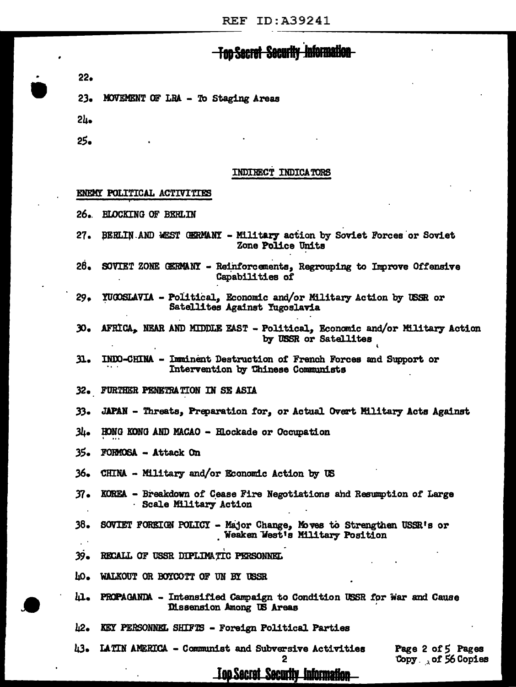### **Information** <del>- Top Sacrat-Sacurit</del>

 $22-$ 

 $23-$ MOVEMENT OF LRA - To Staging Areas

 $2h$ 

25.

### INDIRECT INDICATORS

### ENEMY POLITICAL ACTIVITIES

- $26.$ **RLOCKING OF BERLIN**
- $27.$ BERLIN AND WEST GERMANY - Military action by Soviet Forces or Soviet Zone Police Units
- $28.$ SOVIET ZONE GERMANY - Reinforcements, Regrouping to Improve Offensive Capabilities of
- $29.$ YUGOSLAVIA - Political, Economic and/or Military Action by USSR or Satellites Against Yugoslavia
- AFRICA, NEAR AND MIDDLE EAST Political, Economic and/or Military Action  $30<sub>o</sub>$ by USSR or Satellites
- INDO-CHINA Imminent Destruction of French Forces and Support or  $31.$ Intervention by Chinese Communists
- 32. FURTHER PENETRATION IN SE ASIA
- $33<sub>o</sub>$ JAPAN - Threats, Preparation for, or Actual Overt Military Acts Against
- سا3 HONG KONG AND MACAO - Elockade or Occupation
- 35. FORMOSA - Attack On
- 36. CHINA - Military and/or Economic Action by US
- $37<sub>•</sub>$ KOREA - Breakdown of Cease Fire Negotiations and Resumption of Large Scale Military Action
- $38.$ SOVIET FOREIGN POLICY - Major Change, Moves to Strengthen USSR's or Weaken West's Military Position
- $39 -$ RECALL OF USSR DIPLIMATIC PERSONNEL
- w. WALKOUT OR BOYCOTT OF UN BY USSR
- ш. PROPAGANDA - Intensified Campaign to Condition USSR for War and Cause Dissension Among US Areas
- h2. KEY PERSONNEL SHIFTS - Foreign Political Parties
- 43. **LATIN AMERICA - Communist and Subversive Activities**

Page 2 of 5 Pages Copy of 56 Copies

## <u>Too Secret Security Information</u>

2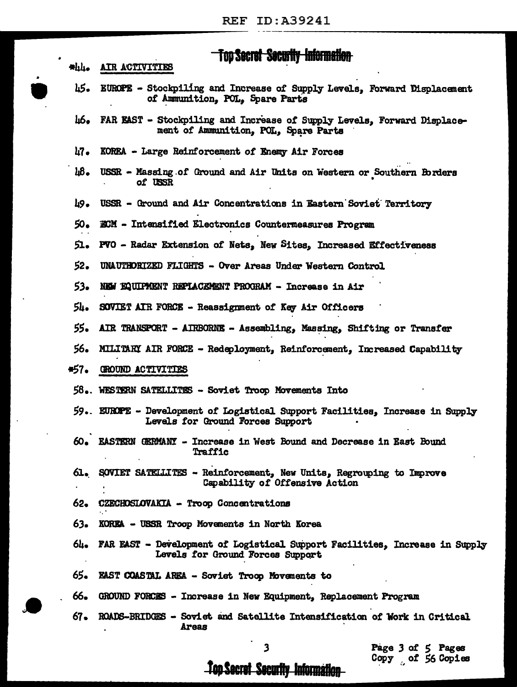# **Top Secret Security Information**

| ٠    | Top Secret Security Information                                                                                     |
|------|---------------------------------------------------------------------------------------------------------------------|
|      | *hh. AIR ACTIVITIES                                                                                                 |
| 45.  | EUROPE - Stockpiling and Increase of Supply Levels, Forward Displacement<br>of Ammunition, POL, Spare Parts         |
|      | 46. FAR EAST - Stockpiling and Increase of Supply Levels, Forward Displace-<br>ment of Ammunition, POL, Spare Parts |
| h7.  | KOREA - Large Reinforcement of Enemy Air Forces                                                                     |
| Ш.   | USSR - Massing of Ground and Air Units on Western or Southern Borders<br>of USSR                                    |
| 49.  | USSR - Ground and Air Concentrations in Eastern Soviet Territory                                                    |
| 50.  | ECM - Intensified Electronics Countermeasures Program                                                               |
|      | 51. PVO - Radar Extension of Nets, New Sites, Increased Effectiveness                                               |
| 52.  | UNAUTHORIZED FLIGHTS - Over Areas Under Western Control                                                             |
| 53.  | NEW EQUIPMENT REPLACEMENT PROGRAM - Increase in Air                                                                 |
| 54۰  | SOVIET AIR FORCE - Reassignment of Key Air Officers                                                                 |
| 55.  | AIR TRANSPORT - AIRBORNE - Assembling, Massing, Shifting or Transfer                                                |
| 56.  | MILITARY AIR FORCE - Redeployment, Reinforcement, Increased Capability                                              |
| *57. | GROUND ACTIVITIES                                                                                                   |
|      | 58. WESTERN SATELLITES - Soviet Troop Movements Into                                                                |
|      | 59. EUROPE - Development of Logistical Support Facilities, Increase in Supply<br>Levels for Ground Forces Support   |
| 60.  | EASTERN GERMANY - Increase in West Bound and Decrease in East Bound<br>Traffic                                      |
|      | 61. SOVIET SATELLITES - Reinforcement, New Units, Regrouping to Improve<br>Capability of Offensive Action           |
| 62.  | CZECHOSLOVAKIA - Troop Concentrations                                                                               |
| 63.  | KOREA - USSR Troop Movements in North Korea                                                                         |
| 64.  | FAR EAST - Development of Logistical Support Facilities, Increase in Supply<br>Levels for Ground Forces Support     |
| 65.  | EAST COASTAL AREA - Soviet Troop Movements to                                                                       |
| 66.  | GROUND FORCES - Increase in New Equipment, Replacement Program                                                      |
| 67.  | ROADS-BRIDGES - Soviet and Satellite Intensification of Work in Critical<br><b>Areas</b>                            |

 $\vert \hspace{1mm} \vert$ 

 $\mathbf{3}$ 

 $\frac{1}{\sqrt{2}}$ 

Page 3 of 5 Pages<br>Copy of 56 Copies

**Top Secret Security Information**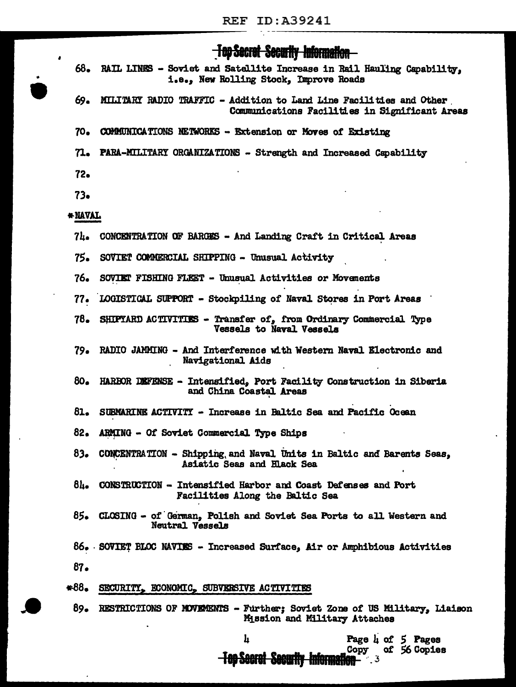## <del>10p Secret Security Information</del>

- 68. RAIL LINES - Soviet and Satellite Increase in Rail Hauling Capability. i.e., New Rolling Stock, Improve Roads
- 69. MILITARY RADIO TRAFFIC - Addition to Land Line Facilities and Other Communications Facilities in Significant Areas
- $70<sub>•</sub>$ **COMMUNICATIONS NETWORKS - Extension or Moves of Existing**
- $71-$ **PARA-MILITARY ORGANIZATIONS - Strength and Increased Capability**
- $72<sub>o</sub>$

 $73.$ 

### \* NAVAL

- 7h. CONCENTRATION OF BARGES - And Landing Craft in Critical Areas
- 75. SOVIET COMMERCIAL SHIPPING - Unusual Activity
- 76. SOVIET FISHING FLEET - Unusual Activities or Movements
- LOGISTICAL SUPPORT Stockpiling of Naval Stores in Port Areas  $77-$
- $78-$ SHIPYARD ACTIVITIES - Transfer of, from Ordinary Commercial Type **Vessels to Naval Vessels**
- $79.$ RADIO JAMMING - And Interference with Western Naval Electronic and Navigational Aids
- 80. HARBOR DEFENSE - Intensified, Port Facility Construction in Siberia and China Coastal Areas
- 81. SUBMARINE ACTIVITY - Increase in Baltic Sea and Pacific Ocean
- 82. ARMING - Of Soviet Commercial Type Ships
- CONCENTRATION Shipping and Naval Units in Baltic and Barents Seas, 83. Asiatic Seas and Hlack Sea
- $8L -$ CONSTRUCTION - Intensified Harbor and Coast Defenses and Port Facilities Along the Baltic Sea
- 85. CLOSING - of German, Polish and Soviet Sea Ports to all Western and Neutral Vessels
- 86. SOVIET BLOC NAVIES Increased Surface, Air or Amphibious Activities

 $87.$ 

#### $*88.$ SECURITY, ECONOMIC, SUBVERSIVE ACTIVITIES

89. RESTRICTIONS OF MOVEMENTS - Further; Soviet Zone of US Military, Liaison Mission and Military Attaches

h

Page  $\mu$  of 5 Pages of 56 Copies

Copy

**Top Secret Security Information**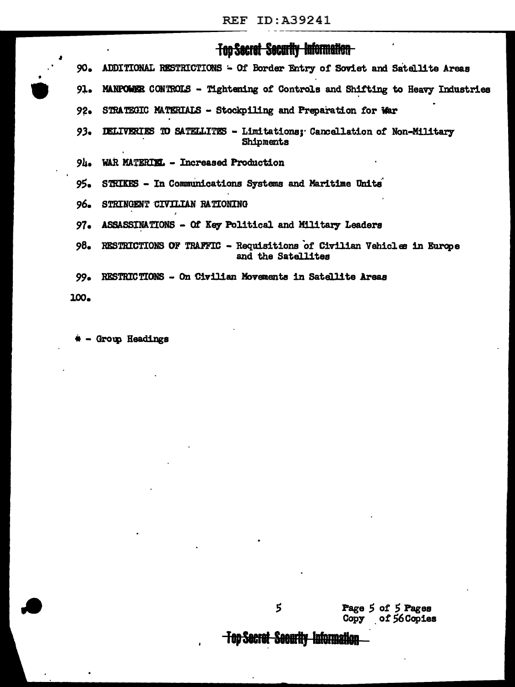## **Top Secret Security Information**

- 90. ADDITIONAL RESTRICTIONS - Of Border Entry of Soviet and Satellite Areas
- 91. MANPOWER CONTROLS - Tightening of Controls and Shifting to Heavy Industries
- $92-$ STRATEGIC MATERIALS - Stockpiling and Preparation for War
- $93-$ DELIVERIES TO SATELLITES - Limitations: Cancellation of Non-Military Shipments
- $9<sub>h</sub>$ WAR MATERIEL - Increased Production
- $95 -$ STRIKES - In Communications Systems and Maritime Units
- 96. STRINGENT CIVILIAN RATIONING
- $97<sub>°</sub>$ ASSASSINATIONS - Of Key Political and Military Leaders
- 98. RESTRICTIONS OF TRAFFIC - Requisitions of Civilian Vehicles in Europe and the Satellites
- 99. RESTRICTIONS - On Civilian Movements in Satellite Areas

100.

\* - Group Headings

Page 5 of 5 Pages of 56 Copies Copy

<del>-Top Secret-Security I</del>nformation

5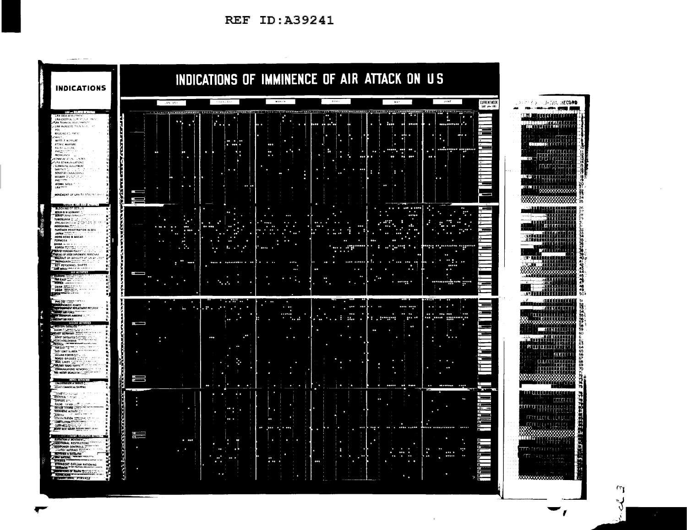**REF ID: A39241** 



 $\mathbf{v}$ 

<sub>V</sub>